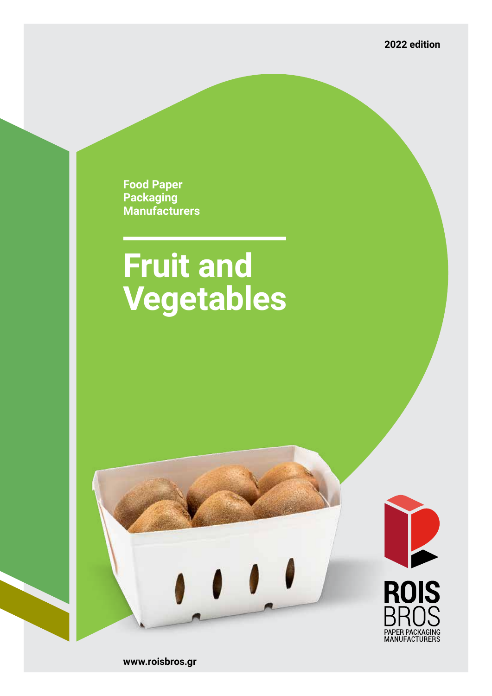**2022 edition**

**Food Paper Packaging Manufacturers**

# **Fruit and Vegetables**





**www.roisbros.gr**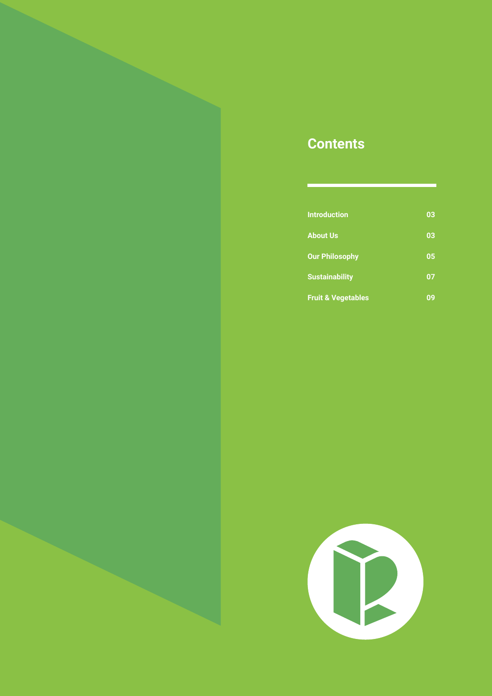## **Contents**

| <b>Introduction</b>           | 03 |
|-------------------------------|----|
| <b>About Us</b>               | 03 |
| <b>Our Philosophy</b>         | 05 |
| <b>Sustainability</b>         | 07 |
| <b>Fruit &amp; Vegetables</b> | 09 |

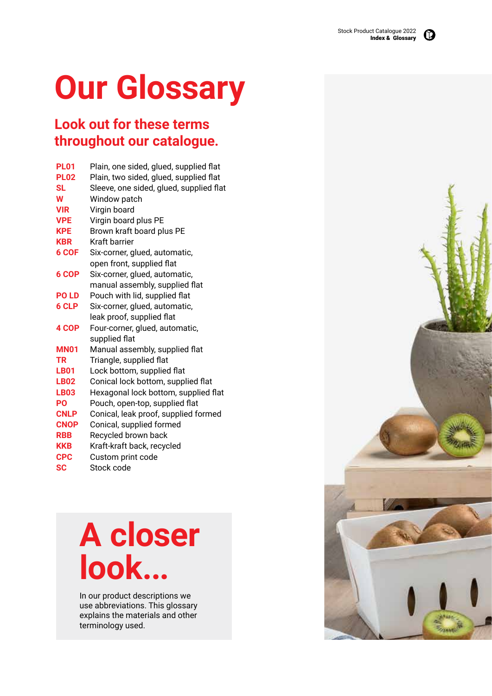Stock Product Catalogue 2022 Index & Glossary



# **Our Glossary**

## **Look out for these terms throughout our catalogue.**

| <b>PL01</b>    | Plain, one sided, glued, supplied flat  |
|----------------|-----------------------------------------|
| <b>PL02</b>    | Plain, two sided, glued, supplied flat  |
| <b>SL</b>      | Sleeve, one sided, glued, supplied flat |
| W              | Window patch                            |
| <b>VIR</b>     | Virgin board                            |
| <b>VPE</b>     | Virgin board plus PE                    |
| <b>KPE</b>     | Brown kraft board plus PE               |
| <b>KBR</b>     | Kraft barrier                           |
| 6 COF          | Six-corner, glued, automatic,           |
|                | open front, supplied flat               |
| 6 COP          | Six-corner, glued, automatic,           |
|                | manual assembly, supplied flat          |
| <b>POLD</b>    | Pouch with lid, supplied flat           |
| 6 CLP          | Six-corner, glued, automatic,           |
|                | leak proof, supplied flat               |
| 4 COP          | Four-corner, glued, automatic,          |
|                | supplied flat                           |
| <b>MN01</b>    | Manual assembly, supplied flat          |
| TR             | Triangle, supplied flat                 |
| <b>LB01</b>    | Lock bottom, supplied flat              |
| <b>LB02</b>    | Conical lock bottom, supplied flat      |
| <b>LB03</b>    | Hexagonal lock bottom, supplied flat    |
| P <sub>0</sub> | Pouch, open-top, supplied flat          |
| <b>CNLP</b>    | Conical, leak proof, supplied formed    |
| <b>CNOP</b>    | Conical, supplied formed                |
| <b>RBB</b>     | Recycled brown back                     |
| <b>KKB</b>     | Kraft-kraft back, recycled              |
| <b>CPC</b>     | Custom print code                       |
| <b>SC</b>      | Stock code                              |
|                |                                         |

## **A closer look...**

In our product descriptions we use abbreviations. This glossary explains the materials and other terminology used.

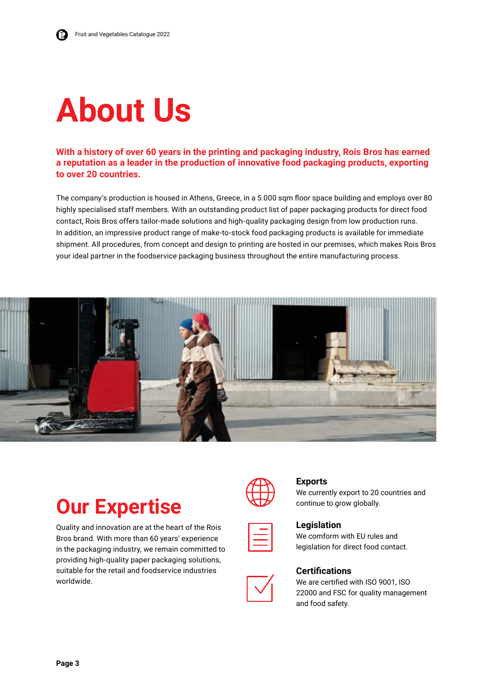# **About Us**

### **With a history of over 60 years in the printing and packaging industry, Rois Bros has earned a reputation as a leader in the production of innovative food packaging products, exporting to over 20 countries.**

The company's production is housed in Athens, Greece, in a 5.000 sqm floor space building and employs over 80 highly specialised staff members. With an outstanding product list of paper packaging products for direct food contact, Rois Bros offers tailor-made solutions and high-quality packaging design from low production runs. In addition, an impressive product range of make-to-stock food packaging products is available for immediate shipment. All procedures, from concept and design to printing are hosted in our premises, which makes Rois Bros your ideal partner in the foodservice packaging business throughout the entire manufacturing process.



## **Our Expertise**

Quality and innovation are at the heart of the Rois Bros brand. With more than 60 years' experience in the packaging industry, we remain committed to providing high-quality paper packaging solutions, suitable for the retail and foodservice industries worldwide.



#### **Exports**

We currently export to 20 countries and continue to grow globally.



## **Legislation**

We comform with EU rules and legislation for direct food contact.



### **Certifications**

We are certified with ISO 9001, ISO 22000 and FSC for quality management and food safety.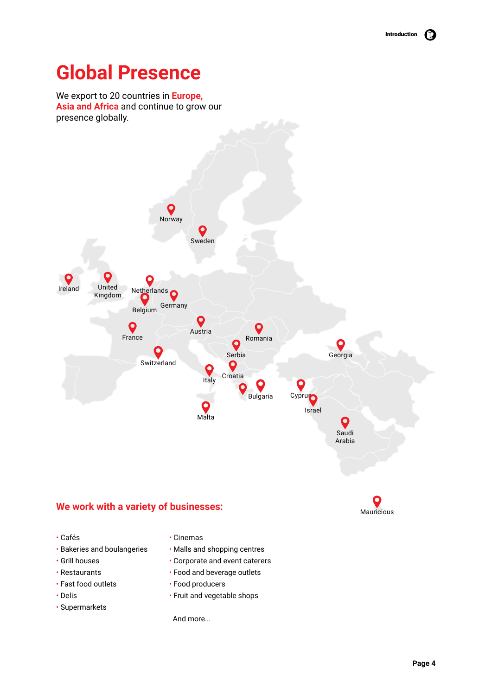$\boldsymbol{\Omega}$ 

## **Global Presence**

We export to 20 countries in **Europe, Asia and Africa** and continue to grow our presence globally.



## **We work with a variety of businesses:**

- Cafés
- Bakeries and boulangeries
- Grill houses
- Restaurants
- Fast food outlets
- Delis
- Supermarkets
- Cinemas
- Malls and shopping centres
- Corporate and event caterers
- Food and beverage outlets
- Food producers
- Fruit and vegetable shops

And more...

**Mauricious** 

g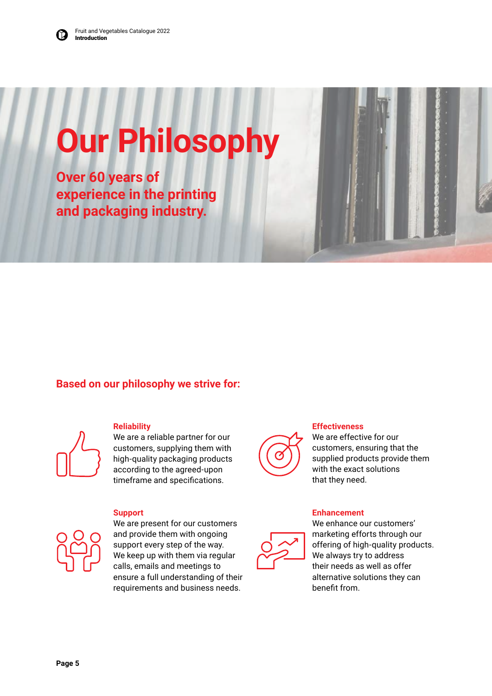

# **Our Philosophy**

**Over 60 years of experience in the printing and packaging industry.**

## **Based on our philosophy we strive for:**



#### **Reliability**

We are a reliable partner for our customers, supplying them with high-quality packaging products according to the agreed-upon timeframe and specifications.

#### **Support**



We are present for our customers and provide them with ongoing support every step of the way. We keep up with them via regular calls, emails and meetings to ensure a full understanding of their requirements and business needs.



#### **Effectiveness**

We are effective for our customers, ensuring that the supplied products provide them with the exact solutions that they need.

#### **Enhancement**

We enhance our customers' marketing efforts through our offering of high-quality products. We always try to address their needs as well as offer alternative solutions they can benefit from.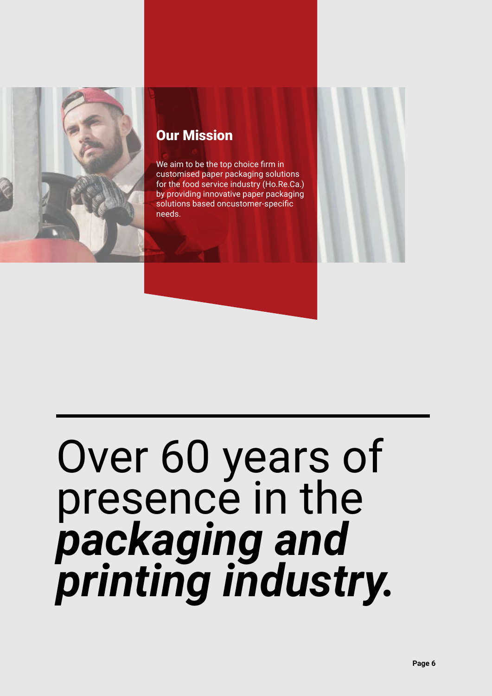

## **Our Mission**

We aim to be the top choice firm in customised paper packaging solutions for the food service industry (Ho.Re.Ca.) by providing innovative paper packaging solutions based oncustomer-specific needs.

# Over 60 years of presence in the *packaging and printing industry.*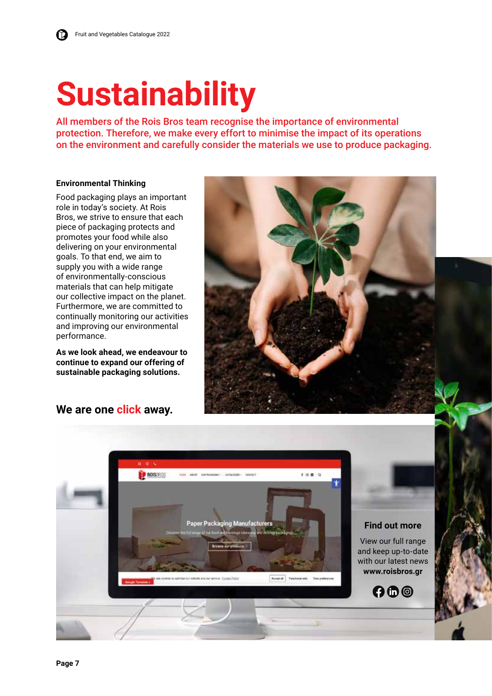# **Sustainability**

All members of the Rois Bros team recognise the importance of environmental protection. Therefore, we make every effort to minimise the impact of its operations on the environment and carefully consider the materials we use to produce packaging.

#### **Environmental Thinking**

Food packaging plays an important role in today's society. At Rois Bros, we strive to ensure that each piece of packaging protects and promotes your food while also delivering on your environmental goals. To that end, we aim to supply you with a wide range of environmentally-conscious materials that can help mitigate our collective impact on the planet. Furthermore, we are committed to continually monitoring our activities and improving our environmental performance.

**As we look ahead, we endeavour to continue to expand our offering of sustainable packaging solutions.**

## **We are one click away.**



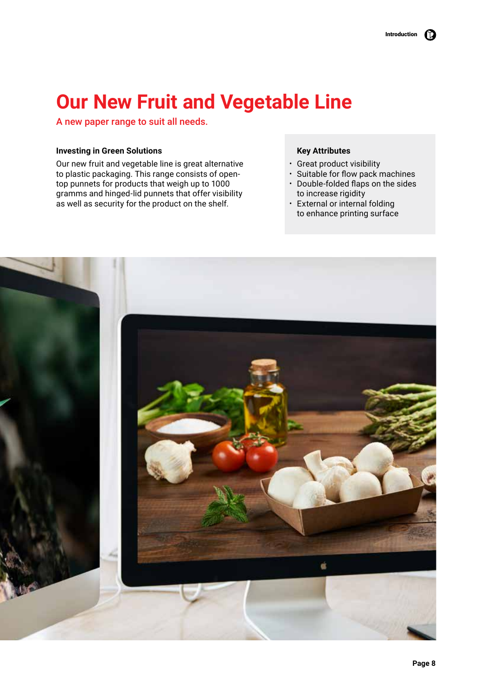## **Our New Fruit and Vegetable Line**

A new paper range to suit all needs.

#### **Investing in Green Solutions**

Our new fruit and vegetable line is great alternative to plastic packaging. This range consists of opentop punnets for products that weigh up to 1000 gramms and hinged-lid punnets that offer visibility as well as security for the product on the shelf.

### **Key Attributes**

- Great product visibility
- Suitable for flow pack machines
- Double-folded flaps on the sides to increase rigidity
- External or internal folding to enhance printing surface

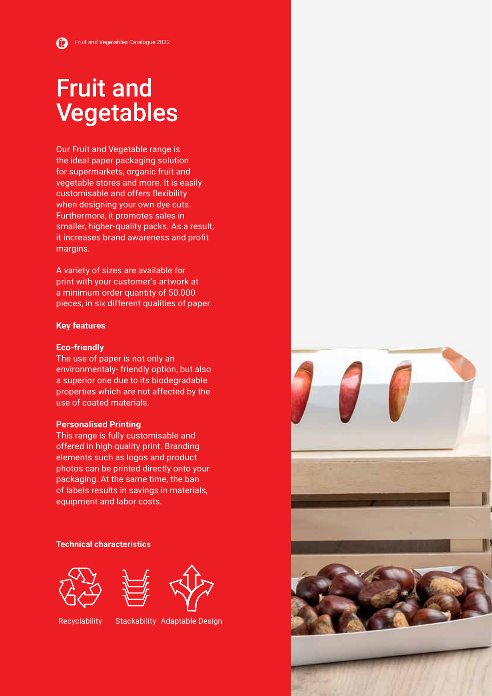m

## Fruit and Vegetables

Our Fruit and Vegetable range is the ideal paper packaging solution for supermarkets, organic fruit and vegetable stores and more. It is easily customisable and offers flexibility when designing your own dye cuts. Furthermore, it promotes sales in smaller, higher-quality packs. As a result, it increases brand awareness and profit margins.

A variety of sizes are available for print with your customer's artwork at a minimum order quantity of 50.000 pieces, in six different qualities of paper.

#### **Key features**

#### **Eco-friendly**

The use of paper is not only an environmentaly- friendly option, but also a superior one due to its biodegradable properties which are not affected by the use of coated materials.

#### **Personalised Printing**

This range is fully customisable and offered in high quality print. Branding elements such as logos and product photos can be printed directly onto your packaging. At the same time, the ban of labels results in savings in materials, equipment and labor costs.

#### **Technical characteristics**





Recyclability Stackability Adaptable Design

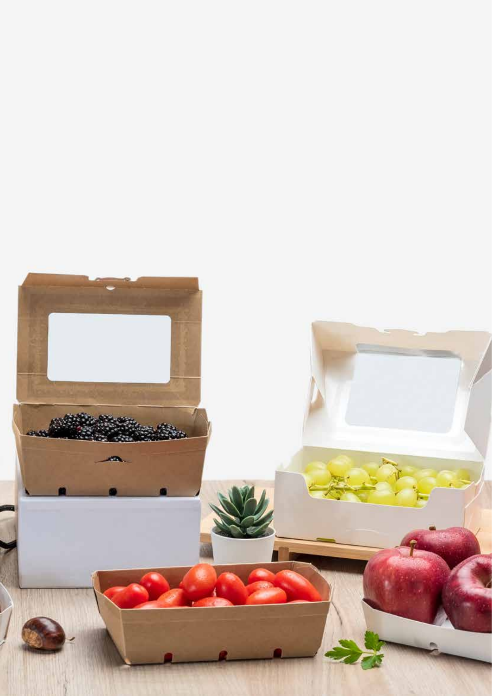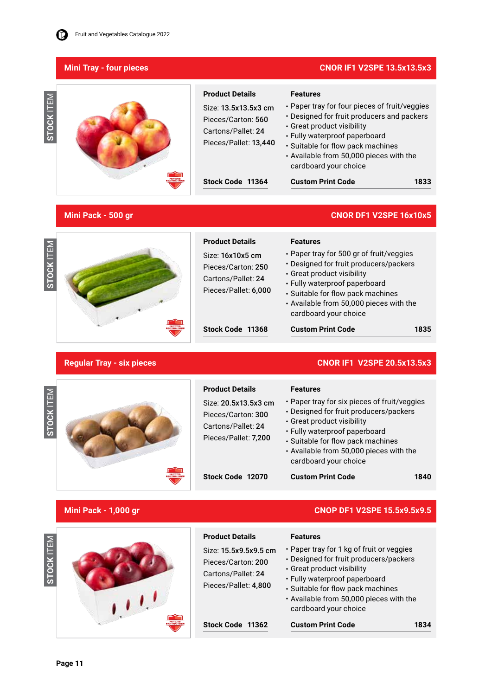

#### **Mini Tray - four pieces CNOR IF1 V2SPE 13.5x13.5x3**

**STOCK** ITEM

**STOCK ITEM** 

**STOCK** ITEM

**STOCK ITEM** 



| <b>Product Details</b>                                            | <b>Features</b>                                                                                           |
|-------------------------------------------------------------------|-----------------------------------------------------------------------------------------------------------|
| Size: 13.5x13.5x3 cm                                              | • Paper tray for four pieces of fruit/veggies                                                             |
| Pieces/Carton: 560<br>Cartons/Pallet: 24<br>Pieces/Pallet: 13,440 | • Designed for fruit producers and packers<br>· Great product visibility<br>• Fully waterproof paperboard |
|                                                                   |                                                                                                           |
|                                                                   |                                                                                                           |
|                                                                   | cardboard your choice                                                                                     |

**Stock Code 11364**

#### **Mini Pack - 500 gr CNOR DF1 V2SPE 16x10x5**

**Custom Print Code 1833**



| <b>Regular Tray - six pieces</b> | <b>CNOR IF1 V2SPE 20.5x13.5x3</b> |
|----------------------------------|-----------------------------------|

**Custom Print Code 1835**

• Paper tray for 500 gr of fruit/veggies • Designed for fruit producers/packers

• Great product visibility • Fully waterproof paperboard • Suitable for flow pack machines • Available from 50,000 pieces with the

cardboard your choice

**Features**

| <b>Product Details</b>                                                                   |  |
|------------------------------------------------------------------------------------------|--|
| Size: 20.5x13.5x3 cm<br>Pieces/Carton: 300<br>Cartons/Pallet: 24<br>Pieces/Pallet: 7,200 |  |
| Stock Code 12070                                                                         |  |

| )etails                                                | <b>Features</b>                                                                                                                                                                                                                                                |      |
|--------------------------------------------------------|----------------------------------------------------------------------------------------------------------------------------------------------------------------------------------------------------------------------------------------------------------------|------|
| x13.5x3 cm<br>arton: 300<br>Pallet: 24<br>allet: 7,200 | • Paper tray for six pieces of fruit/veggies<br>• Designed for fruit producers/packers<br>• Great product visibility<br>• Fully waterproof paperboard<br>· Suitable for flow pack machines<br>• Available from 50,000 pieces with the<br>cardboard your choice |      |
| de 12070                                               | <b>Custom Print Code</b>                                                                                                                                                                                                                                       | 1840 |

### **Mini Pack - 1,000 gr CNOP DF1 V2SPE 15.5x9.5x9.5**

| <b>Product Details</b>                                                                    | <b>Features</b>                                                                                                                                                                                                                                             |      |
|-------------------------------------------------------------------------------------------|-------------------------------------------------------------------------------------------------------------------------------------------------------------------------------------------------------------------------------------------------------------|------|
| Size: 15.5x9.5x9.5 cm<br>Pieces/Carton: 200<br>Cartons/Pallet: 24<br>Pieces/Pallet: 4,800 | • Paper tray for 1 kg of fruit or veggies<br>• Designed for fruit producers/packers<br>• Great product visibility<br>• Fully waterproof paperboard<br>· Suitable for flow pack machines<br>• Available from 50,000 pieces with the<br>cardboard your choice |      |
| Stock Code 11362                                                                          | <b>Custom Print Code</b>                                                                                                                                                                                                                                    | 1834 |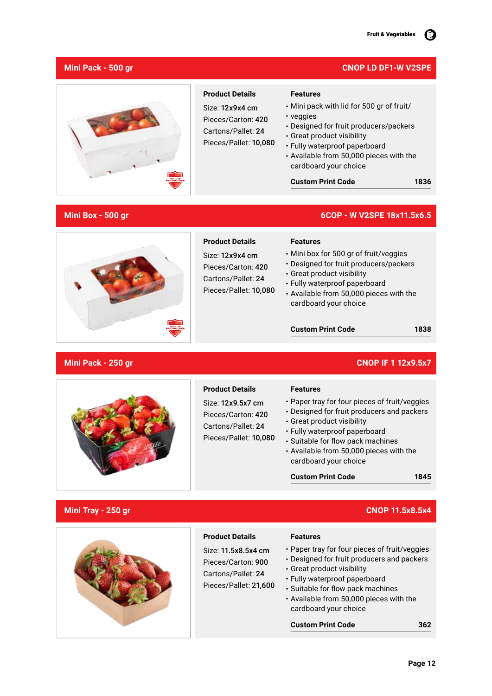

**Mini Pack - 500 gr CNOP LD DF1-W V2SPE** 

**Product Details** Size: 12x9x4 cm Pieces/Carton: 420 Cartons/Pallet: 24

### • Available from 50,000 pieces with the cardboard your choice

**Custom Print Code 362**

• Mini pack with lid for 500 gr of fruit/

• Designed for fruit producers/packers

• veggies

**Features**

| <b>Time</b><br>PROTECTED<br>INDUSTRIAL DESIGN |
|-----------------------------------------------|

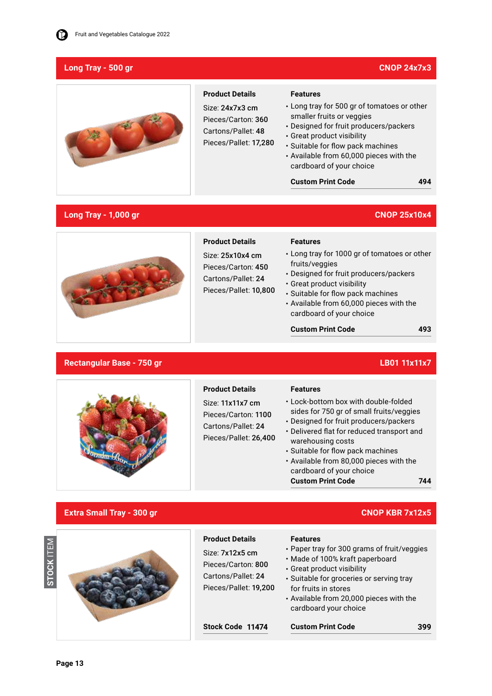

#### **Long Tray - 500 gr CNOP 24x7x3**



## **Product Details**

Size: 24x7x3 cm Pieces/Carton: 360 Cartons/Pallet: 48 Pieces/Pallet: 17,280

#### **Features**

- Long tray for 500 gr of tomatoes or other smaller fruits or veggies
- Designed for fruit producers/packers
- Great product visibility
- Suitable for flow pack machines
- Available from 60,000 pieces with the cardboard of your choice

**Custom Print Code 494**

### **Long Tray - 1,000 gr CNOP 25x10x4**



#### **Product Details**

Size: 25x10x4 cm Pieces/Carton: 450 Cartons/Pallet: 24 Pieces/Pallet: 10,800

#### **Features**

- Long tray for 1000 gr of tomatoes or other fruits/veggies
- Designed for fruit producers/packers
- Great product visibility
- Suitable for flow pack machines
- Available from 60,000 pieces with the cardboard of your choice

**Custom Print Code 744**

**Custom Print Code 493**

#### **Rectangular Base - 750 gr LB01 11x11x7**

| <b>Product Details</b>                                                                 | <b>Features</b>                                                                                                                                                                                                                                                                                           |
|----------------------------------------------------------------------------------------|-----------------------------------------------------------------------------------------------------------------------------------------------------------------------------------------------------------------------------------------------------------------------------------------------------------|
| Size: 11x11x7 cm<br>Pieces/Carton: 1100<br>Cartons/Pallet: 24<br>Pieces/Pallet: 26,400 | • Lock-bottom box with double-folded<br>sides for 750 gr of small fruits/veggies<br>• Designed for fruit producers/packers<br>• Delivered flat for reduced transport and<br>warehousing costs<br>• Suitable for flow pack machines<br>• Available from 80,000 pieces with the<br>cardboard of your choice |

### **Extra Small Tray - 300 gr CNOP KBR 7x12x5**

| <b>Product Details</b><br>$Size: 7x12x5$ cm<br>Pieces/Carton: 800<br>Cartons/Pallet: 24<br>Pieces/Pallet: 19,200 | <b>Features</b><br>• Paper tray for 300 grams of fruit/veggies<br>• Made of 100% kraft paperboard<br>• Great product visibility<br>· Suitable for groceries or serving tray<br>for fruits in stores<br>• Available from 20,000 pieces with the<br>cardboard your choice |
|------------------------------------------------------------------------------------------------------------------|-------------------------------------------------------------------------------------------------------------------------------------------------------------------------------------------------------------------------------------------------------------------------|
| Stock Code 11474                                                                                                 | <b>Custom Print Code</b><br>399                                                                                                                                                                                                                                         |
|                                                                                                                  |                                                                                                                                                                                                                                                                         |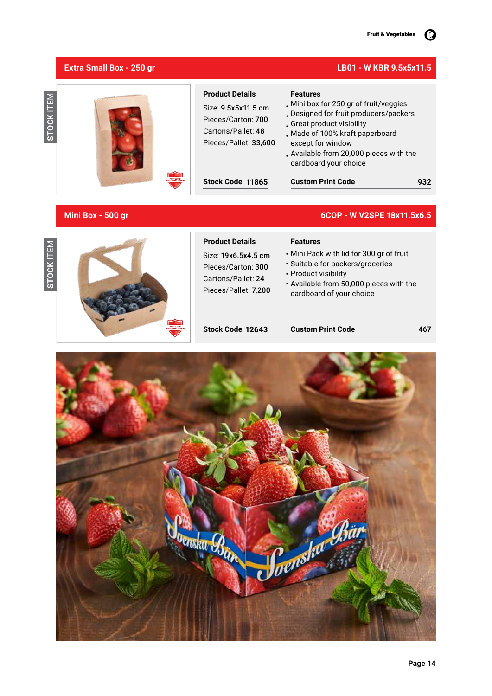#### **Extra Small Box - 250 gr LB01 - W KBR 9.5x5x11.5 Product Details** Size: 9.5x5x11.5 cm Pieces/Carton: 700 Cartons/Pallet: 48 Pieces/Pallet: 33,600 • Mini box for 250 gr of fruit/veggies • Designed for fruit producers/packers • Great product visibility • Made of 100% kraft paperboard • Available from 20,000 pieces with the **Features** except for window cardboard your choice

**Stock Code 11865**

### **Mini Box - 500 gr 6COP - W V2SPE 18x11.5x6.5**

**Custom Print Code 932**



**STOCK** ITEM

**STOCK ITEM** 



#### **Product Details** Size: 19x6.5x4.5 cm Pieces/Carton: 300 Cartons/Pallet: 24 Pieces/Pallet: 7,200 • Mini Pack with lid for 300 gr of fruit • Suitable for packers/groceries • Product visibility • Available from 50,000 pieces with the **Features** cardboard of your choice

**Stock Code 12643**

#### **Custom Print Code 467**

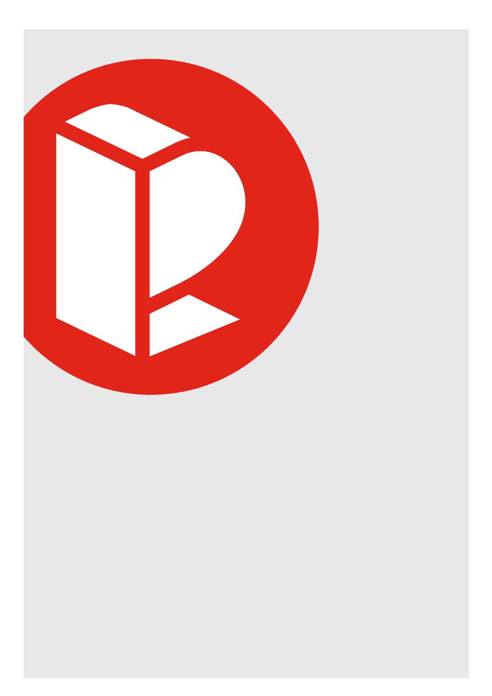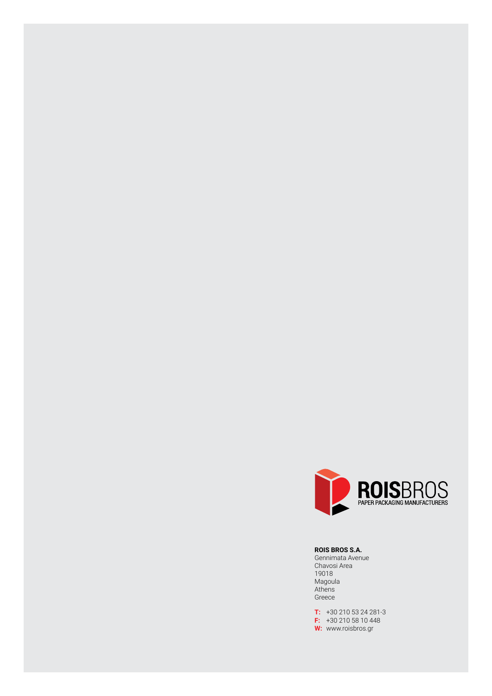

### **ROIS BROS S.A.**

Gennimata Avenue Chavosi Area 19018 Magoula Athens Greece

**T:** +30 210 53 24 281-3 **F:** +30 210 58 10 448 **W:** www.roisbros.gr